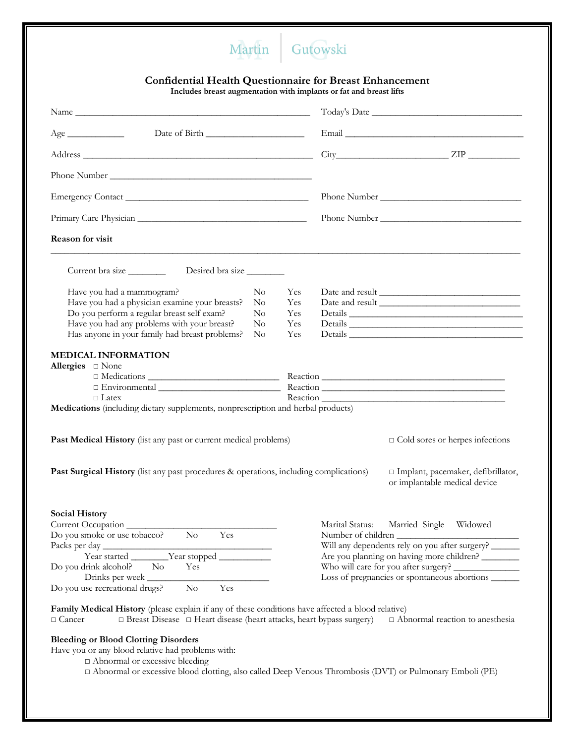## Martin Gutowski

## **Confidential Health Questionnaire for Breast Enhancement**

**Includes breast augmentation with implants or fat and breast lifts**

|                                                                                                                                                                                                                                                                                        |                                 |                                                                                                                                                                            | $City$ $ZIP$ $ZIP$                                                    |  |
|----------------------------------------------------------------------------------------------------------------------------------------------------------------------------------------------------------------------------------------------------------------------------------------|---------------------------------|----------------------------------------------------------------------------------------------------------------------------------------------------------------------------|-----------------------------------------------------------------------|--|
|                                                                                                                                                                                                                                                                                        |                                 |                                                                                                                                                                            |                                                                       |  |
|                                                                                                                                                                                                                                                                                        |                                 |                                                                                                                                                                            |                                                                       |  |
|                                                                                                                                                                                                                                                                                        |                                 |                                                                                                                                                                            |                                                                       |  |
| Reason for visit                                                                                                                                                                                                                                                                       |                                 |                                                                                                                                                                            |                                                                       |  |
|                                                                                                                                                                                                                                                                                        |                                 |                                                                                                                                                                            |                                                                       |  |
| Have you had a mammogram?<br>$\rm No$<br>Have you had a physician examine your breasts?<br>$\rm No$<br>Do you perform a regular breast self exam?<br>$\rm No$<br>Have you had any problems with your breast?<br>$\rm No$<br>Has anyone in your family had breast problems?<br>$\rm No$ | Yes<br>Yes<br>Yes<br>Yes<br>Yes |                                                                                                                                                                            | Details                                                               |  |
| <b>MEDICAL INFORMATION</b><br>Allergies $\square$ None<br>$\Box$ Latex<br>Medications (including dietary supplements, nonprescription and herbal products)                                                                                                                             |                                 |                                                                                                                                                                            |                                                                       |  |
| Past Medical History (list any past or current medical problems)                                                                                                                                                                                                                       |                                 |                                                                                                                                                                            | $\Box$ Cold sores or herpes infections                                |  |
| Past Surgical History (list any past procedures & operations, including complications)                                                                                                                                                                                                 |                                 |                                                                                                                                                                            | □ Implant, pacemaker, defibrillator,<br>or implantable medical device |  |
| <b>Social History</b><br>Current Occupation                                                                                                                                                                                                                                            |                                 | Marital Status:                                                                                                                                                            | Married Single<br>Widowed                                             |  |
| Do you smoke or use tobacco?<br>No.<br>Yes<br>Do you drink alcohol?<br>No.<br>Yes<br>Drinks per week<br>Do you use recreational drugs?<br>$\rm No$<br>Yes                                                                                                                              |                                 | Number of children<br>Will any dependents rely on you after surgery?<br>Are you planning on having more children? ________<br>Loss of pregnancies or spontaneous abortions |                                                                       |  |
| Family Medical History (please explain if any of these conditions have affected a blood relative)<br>□ Breast Disease □ Heart disease (heart attacks, heart bypass surgery)<br>$\Box$ Cancer                                                                                           |                                 |                                                                                                                                                                            | $\Box$ Abnormal reaction to anesthesia                                |  |
| <b>Bleeding or Blood Clotting Disorders</b><br>Have you or any blood relative had problems with:<br>$\Box$ Abnormal or excessive bleeding                                                                                                                                              |                                 |                                                                                                                                                                            |                                                                       |  |

□ Abnormal or excessive blood clotting, also called Deep Venous Thrombosis (DVT) or Pulmonary Emboli (PE)